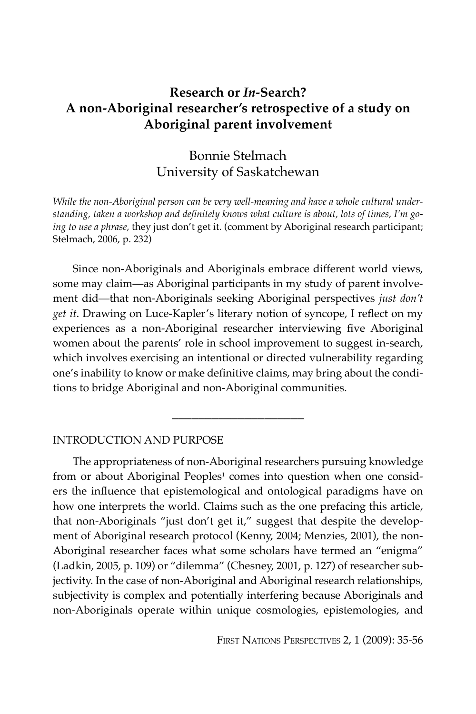# **Research or** *In***-Search? A non-Aboriginal researcher's retrospective of a study on Aboriginal parent involvement**

# Bonnie Stelmach University of Saskatchewan

*While the non-Aboriginal person can be very well-meaning and have a whole cultural understanding, taken a workshop and definitely knows what culture is about, lots of times, I'm going to use a phrase,* they just don't get it. (comment by Aboriginal research participant; Stelmach, 2006, p. 232)

Since non-Aboriginals and Aboriginals embrace different world views, some may claim—as Aboriginal participants in my study of parent involvement did—that non-Aboriginals seeking Aboriginal perspectives *just don't get it*. Drawing on Luce-Kapler's literary notion of syncope, I reflect on my experiences as a non-Aboriginal researcher interviewing five Aboriginal women about the parents' role in school improvement to suggest in-search, which involves exercising an intentional or directed vulnerability regarding one's inability to know or make definitive claims, may bring about the conditions to bridge Aboriginal and non-Aboriginal communities.

\_\_\_\_\_\_\_\_\_\_\_\_\_\_\_\_\_\_\_\_

## INTRODUCTION AND PURPOSE

The appropriateness of non-Aboriginal researchers pursuing knowledge from or about Aboriginal Peoples<sup>1</sup> comes into question when one considers the influence that epistemological and ontological paradigms have on how one interprets the world. Claims such as the one prefacing this article, that non-Aboriginals "just don't get it," suggest that despite the development of Aboriginal research protocol (Kenny, 2004; Menzies, 2001), the non-Aboriginal researcher faces what some scholars have termed an "enigma" (Ladkin, 2005, p. 109) or "dilemma" (Chesney, 2001, p. 127) of researcher subjectivity. In the case of non-Aboriginal and Aboriginal research relationships, subjectivity is complex and potentially interfering because Aboriginals and non-Aboriginals operate within unique cosmologies, epistemologies, and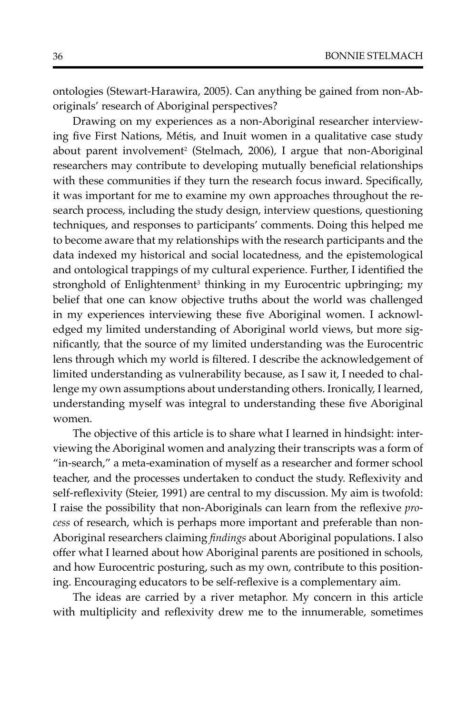ontologies (Stewart-Harawira, 2005). Can anything be gained from non-Aboriginals' research of Aboriginal perspectives?

Drawing on my experiences as a non-Aboriginal researcher interviewing five First Nations, Métis, and Inuit women in a qualitative case study about parent involvement<sup>2</sup> (Stelmach, 2006), I argue that non-Aboriginal researchers may contribute to developing mutually beneficial relationships with these communities if they turn the research focus inward. Specifically, it was important for me to examine my own approaches throughout the research process, including the study design, interview questions, questioning techniques, and responses to participants' comments. Doing this helped me to become aware that my relationships with the research participants and the data indexed my historical and social locatedness, and the epistemological and ontological trappings of my cultural experience. Further, I identified the stronghold of Enlightenment<sup>3</sup> thinking in my Eurocentric upbringing; my belief that one can know objective truths about the world was challenged in my experiences interviewing these five Aboriginal women. I acknowledged my limited understanding of Aboriginal world views, but more significantly, that the source of my limited understanding was the Eurocentric lens through which my world is filtered. I describe the acknowledgement of limited understanding as vulnerability because, as I saw it, I needed to challenge my own assumptions about understanding others. Ironically, I learned, understanding myself was integral to understanding these five Aboriginal women.

The objective of this article is to share what I learned in hindsight: interviewing the Aboriginal women and analyzing their transcripts was a form of "in-search," a meta-examination of myself as a researcher and former school teacher, and the processes undertaken to conduct the study. Reflexivity and self-reflexivity (Steier, 1991) are central to my discussion. My aim is twofold: I raise the possibility that non-Aboriginals can learn from the reflexive *process* of research, which is perhaps more important and preferable than non-Aboriginal researchers claiming *findings* about Aboriginal populations. I also offer what I learned about how Aboriginal parents are positioned in schools, and how Eurocentric posturing, such as my own, contribute to this positioning. Encouraging educators to be self-reflexive is a complementary aim.

The ideas are carried by a river metaphor. My concern in this article with multiplicity and reflexivity drew me to the innumerable, sometimes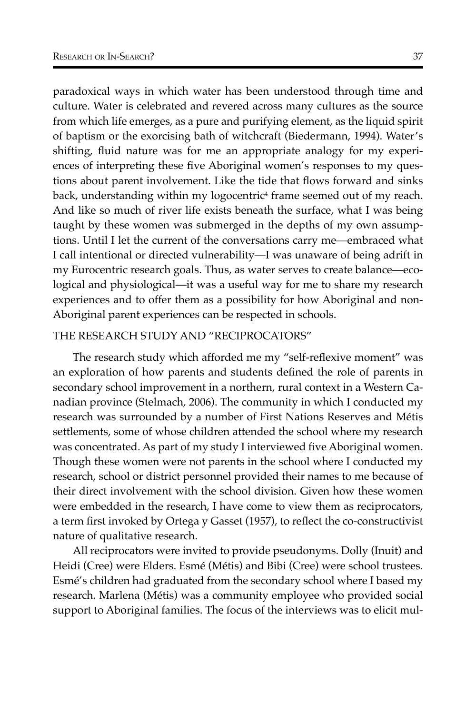paradoxical ways in which water has been understood through time and culture. Water is celebrated and revered across many cultures as the source from which life emerges, as a pure and purifying element, as the liquid spirit of baptism or the exorcising bath of witchcraft (Biedermann, 1994). Water's shifting, fluid nature was for me an appropriate analogy for my experiences of interpreting these five Aboriginal women's responses to my questions about parent involvement. Like the tide that flows forward and sinks back, understanding within my logocentric<sup>4</sup> frame seemed out of my reach. And like so much of river life exists beneath the surface, what I was being taught by these women was submerged in the depths of my own assumptions. Until I let the current of the conversations carry me—embraced what I call intentional or directed vulnerability—I was unaware of being adrift in my Eurocentric research goals. Thus, as water serves to create balance—ecological and physiological—it was a useful way for me to share my research experiences and to offer them as a possibility for how Aboriginal and non-Aboriginal parent experiences can be respected in schools.

### THE RESEARCH STUDY AND "RECIPROCATORS"

The research study which afforded me my "self-reflexive moment" was an exploration of how parents and students defined the role of parents in secondary school improvement in a northern, rural context in a Western Canadian province (Stelmach, 2006). The community in which I conducted my research was surrounded by a number of First Nations Reserves and Métis settlements, some of whose children attended the school where my research was concentrated. As part of my study I interviewed five Aboriginal women. Though these women were not parents in the school where I conducted my research, school or district personnel provided their names to me because of their direct involvement with the school division. Given how these women were embedded in the research, I have come to view them as reciprocators, a term first invoked by Ortega y Gasset (1957), to reflect the co-constructivist nature of qualitative research.

All reciprocators were invited to provide pseudonyms. Dolly (Inuit) and Heidi (Cree) were Elders. Esmé (Métis) and Bibi (Cree) were school trustees. Esmé's children had graduated from the secondary school where I based my research. Marlena (Métis) was a community employee who provided social support to Aboriginal families. The focus of the interviews was to elicit mul-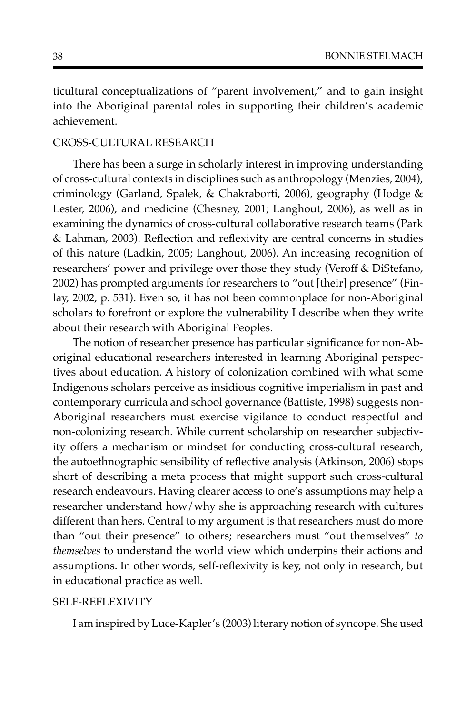ticultural conceptualizations of "parent involvement," and to gain insight into the Aboriginal parental roles in supporting their children's academic achievement.

#### CROSS-CULTURAL RESEARCH

There has been a surge in scholarly interest in improving understanding of cross-cultural contexts in disciplines such as anthropology (Menzies, 2004), criminology (Garland, Spalek, & Chakraborti, 2006), geography (Hodge & Lester, 2006), and medicine (Chesney, 2001; Langhout, 2006), as well as in examining the dynamics of cross-cultural collaborative research teams (Park & Lahman, 2003). Reflection and reflexivity are central concerns in studies of this nature (Ladkin, 2005; Langhout, 2006). An increasing recognition of researchers' power and privilege over those they study (Veroff & DiStefano, 2002) has prompted arguments for researchers to "out [their] presence" (Finlay, 2002, p. 531). Even so, it has not been commonplace for non-Aboriginal scholars to forefront or explore the vulnerability I describe when they write about their research with Aboriginal Peoples.

The notion of researcher presence has particular significance for non-Aboriginal educational researchers interested in learning Aboriginal perspectives about education. A history of colonization combined with what some Indigenous scholars perceive as insidious cognitive imperialism in past and contemporary curricula and school governance (Battiste, 1998) suggests non-Aboriginal researchers must exercise vigilance to conduct respectful and non-colonizing research. While current scholarship on researcher subjectivity offers a mechanism or mindset for conducting cross-cultural research, the autoethnographic sensibility of reflective analysis (Atkinson, 2006) stops short of describing a meta process that might support such cross-cultural research endeavours. Having clearer access to one's assumptions may help a researcher understand how/why she is approaching research with cultures different than hers. Central to my argument is that researchers must do more than "out their presence" to others; researchers must "out themselves" *to themselves* to understand the world view which underpins their actions and assumptions. In other words, self-reflexivity is key, not only in research, but in educational practice as well.

## SELF-REFLEXIVITY

I am inspired by Luce-Kapler's (2003) literary notion of syncope. She used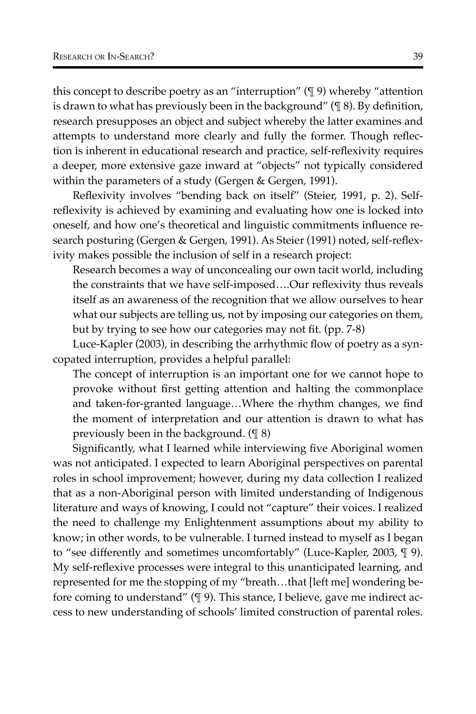this concept to describe poetry as an "interruption" (¶ 9) whereby "attention is drawn to what has previously been in the background" (¶ 8). By definition, research presupposes an object and subject whereby the latter examines and attempts to understand more clearly and fully the former. Though reflection is inherent in educational research and practice, self-reflexivity requires a deeper, more extensive gaze inward at "objects" not typically considered within the parameters of a study (Gergen & Gergen, 1991).

Reflexivity involves "bending back on itself" (Steier, 1991, p. 2). Selfreflexivity is achieved by examining and evaluating how one is locked into oneself, and how one's theoretical and linguistic commitments influence research posturing (Gergen & Gergen, 1991). As Steier (1991) noted, self-reflexivity makes possible the inclusion of self in a research project:

Research becomes a way of unconcealing our own tacit world, including the constraints that we have self-imposed….Our reflexivity thus reveals itself as an awareness of the recognition that we allow ourselves to hear what our subjects are telling us, not by imposing our categories on them, but by trying to see how our categories may not fit. (pp. 7-8)

Luce-Kapler (2003), in describing the arrhythmic flow of poetry as a syncopated interruption, provides a helpful parallel:

The concept of interruption is an important one for we cannot hope to provoke without first getting attention and halting the commonplace and taken-for-granted language…Where the rhythm changes, we find the moment of interpretation and our attention is drawn to what has previously been in the background. (¶ 8)

Significantly, what I learned while interviewing five Aboriginal women was not anticipated. I expected to learn Aboriginal perspectives on parental roles in school improvement; however, during my data collection I realized that as a non-Aboriginal person with limited understanding of Indigenous literature and ways of knowing, I could not "capture" their voices. I realized the need to challenge my Enlightenment assumptions about my ability to know; in other words, to be vulnerable. I turned instead to myself as I began to "see differently and sometimes uncomfortably" (Luce-Kapler, 2003, ¶ 9). My self-reflexive processes were integral to this unanticipated learning, and represented for me the stopping of my "breath…that [left me] wondering before coming to understand" (¶ 9). This stance, I believe, gave me indirect access to new understanding of schools' limited construction of parental roles.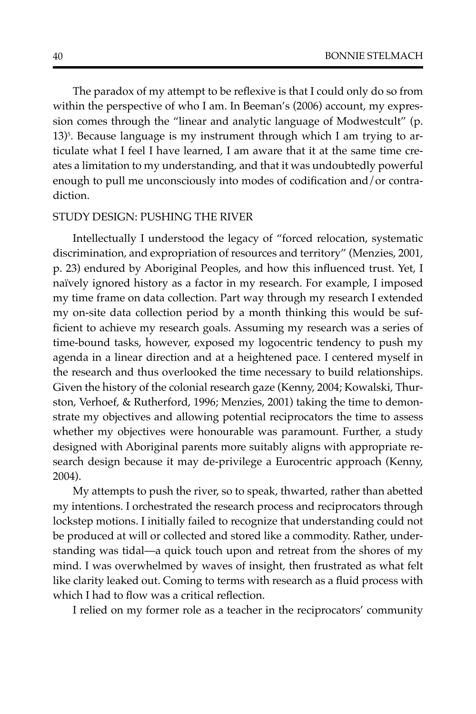The paradox of my attempt to be reflexive is that I could only do so from within the perspective of who I am. In Beeman's (2006) account, my expression comes through the "linear and analytic language of Modwestcult" (p. 13)<sup>5</sup>. Because language is my instrument through which I am trying to articulate what I feel I have learned, I am aware that it at the same time creates a limitation to my understanding, and that it was undoubtedly powerful enough to pull me unconsciously into modes of codification and/or contradiction.

#### STUDY DESIGN: PUSHING THE RIVER

Intellectually I understood the legacy of "forced relocation, systematic discrimination, and expropriation of resources and territory" (Menzies, 2001, p. 23) endured by Aboriginal Peoples, and how this influenced trust. Yet, I naïvely ignored history as a factor in my research. For example, I imposed my time frame on data collection. Part way through my research I extended my on-site data collection period by a month thinking this would be sufficient to achieve my research goals. Assuming my research was a series of time-bound tasks, however, exposed my logocentric tendency to push my agenda in a linear direction and at a heightened pace. I centered myself in the research and thus overlooked the time necessary to build relationships. Given the history of the colonial research gaze (Kenny, 2004; Kowalski, Thurston, Verhoef, & Rutherford, 1996; Menzies, 2001) taking the time to demonstrate my objectives and allowing potential reciprocators the time to assess whether my objectives were honourable was paramount. Further, a study designed with Aboriginal parents more suitably aligns with appropriate research design because it may de-privilege a Eurocentric approach (Kenny, 2004).

My attempts to push the river, so to speak, thwarted, rather than abetted my intentions. I orchestrated the research process and reciprocators through lockstep motions. I initially failed to recognize that understanding could not be produced at will or collected and stored like a commodity. Rather, understanding was tidal—a quick touch upon and retreat from the shores of my mind. I was overwhelmed by waves of insight, then frustrated as what felt like clarity leaked out. Coming to terms with research as a fluid process with which I had to flow was a critical reflection.

I relied on my former role as a teacher in the reciprocators' community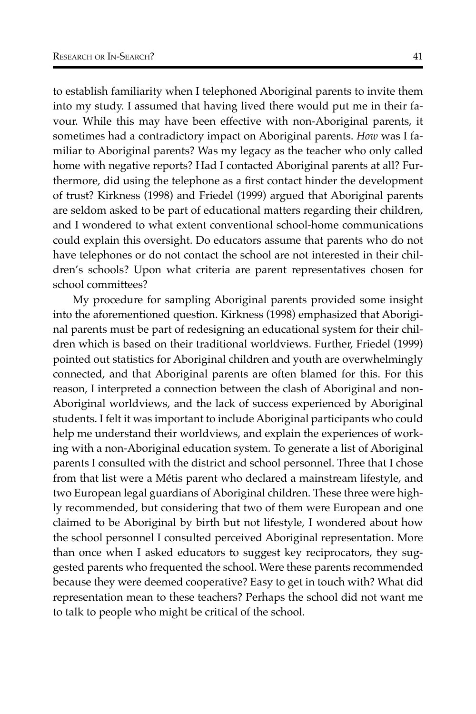to establish familiarity when I telephoned Aboriginal parents to invite them into my study. I assumed that having lived there would put me in their favour. While this may have been effective with non-Aboriginal parents, it sometimes had a contradictory impact on Aboriginal parents. *How* was I familiar to Aboriginal parents? Was my legacy as the teacher who only called home with negative reports? Had I contacted Aboriginal parents at all? Furthermore, did using the telephone as a first contact hinder the development of trust? Kirkness (1998) and Friedel (1999) argued that Aboriginal parents are seldom asked to be part of educational matters regarding their children, and I wondered to what extent conventional school-home communications could explain this oversight. Do educators assume that parents who do not have telephones or do not contact the school are not interested in their children's schools? Upon what criteria are parent representatives chosen for school committees?

My procedure for sampling Aboriginal parents provided some insight into the aforementioned question. Kirkness (1998) emphasized that Aboriginal parents must be part of redesigning an educational system for their children which is based on their traditional worldviews. Further, Friedel (1999) pointed out statistics for Aboriginal children and youth are overwhelmingly connected, and that Aboriginal parents are often blamed for this. For this reason, I interpreted a connection between the clash of Aboriginal and non-Aboriginal worldviews, and the lack of success experienced by Aboriginal students. I felt it was important to include Aboriginal participants who could help me understand their worldviews, and explain the experiences of working with a non-Aboriginal education system. To generate a list of Aboriginal parents I consulted with the district and school personnel. Three that I chose from that list were a Métis parent who declared a mainstream lifestyle, and two European legal guardians of Aboriginal children. These three were highly recommended, but considering that two of them were European and one claimed to be Aboriginal by birth but not lifestyle, I wondered about how the school personnel I consulted perceived Aboriginal representation. More than once when I asked educators to suggest key reciprocators, they suggested parents who frequented the school. Were these parents recommended because they were deemed cooperative? Easy to get in touch with? What did representation mean to these teachers? Perhaps the school did not want me to talk to people who might be critical of the school.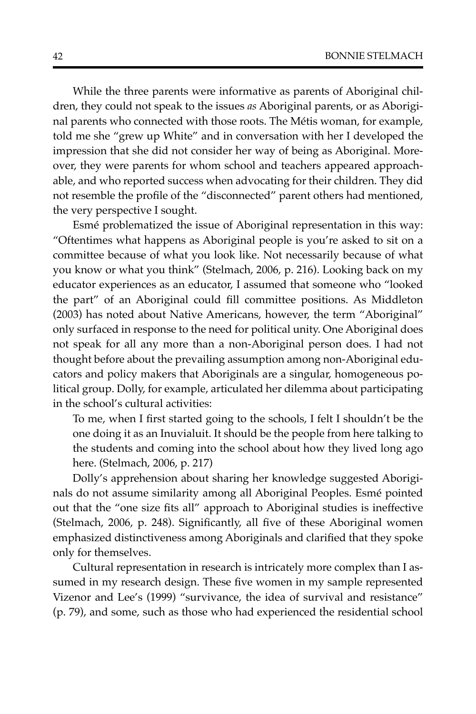While the three parents were informative as parents of Aboriginal children, they could not speak to the issues *as* Aboriginal parents, or as Aboriginal parents who connected with those roots. The Métis woman, for example, told me she "grew up White" and in conversation with her I developed the impression that she did not consider her way of being as Aboriginal. Moreover, they were parents for whom school and teachers appeared approachable, and who reported success when advocating for their children. They did not resemble the profile of the "disconnected" parent others had mentioned, the very perspective I sought.

Esmé problematized the issue of Aboriginal representation in this way: "Oftentimes what happens as Aboriginal people is you're asked to sit on a committee because of what you look like. Not necessarily because of what you know or what you think" (Stelmach, 2006, p. 216). Looking back on my educator experiences as an educator, I assumed that someone who "looked the part" of an Aboriginal could fill committee positions. As Middleton (2003) has noted about Native Americans, however, the term "Aboriginal" only surfaced in response to the need for political unity. One Aboriginal does not speak for all any more than a non-Aboriginal person does. I had not thought before about the prevailing assumption among non-Aboriginal educators and policy makers that Aboriginals are a singular, homogeneous political group. Dolly, for example, articulated her dilemma about participating in the school's cultural activities:

To me, when I first started going to the schools, I felt I shouldn't be the one doing it as an Inuvialuit. It should be the people from here talking to the students and coming into the school about how they lived long ago here. (Stelmach, 2006, p. 217)

Dolly's apprehension about sharing her knowledge suggested Aboriginals do not assume similarity among all Aboriginal Peoples. Esmé pointed out that the "one size fits all" approach to Aboriginal studies is ineffective (Stelmach, 2006, p. 248). Significantly, all five of these Aboriginal women emphasized distinctiveness among Aboriginals and clarified that they spoke only for themselves.

Cultural representation in research is intricately more complex than I assumed in my research design. These five women in my sample represented Vizenor and Lee's (1999) "survivance, the idea of survival and resistance" (p. 79), and some, such as those who had experienced the residential school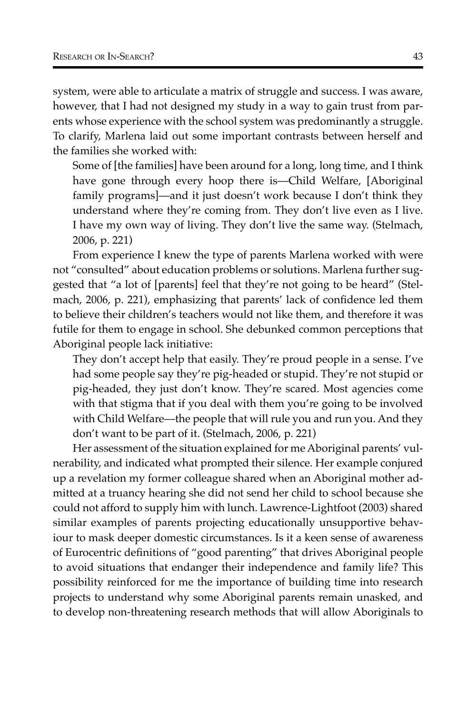system, were able to articulate a matrix of struggle and success. I was aware, however, that I had not designed my study in a way to gain trust from parents whose experience with the school system was predominantly a struggle. To clarify, Marlena laid out some important contrasts between herself and the families she worked with:

Some of [the families] have been around for a long, long time, and I think have gone through every hoop there is—Child Welfare, [Aboriginal family programs]—and it just doesn't work because I don't think they understand where they're coming from. They don't live even as I live. I have my own way of living. They don't live the same way. (Stelmach, 2006, p. 221)

From experience I knew the type of parents Marlena worked with were not "consulted" about education problems or solutions. Marlena further suggested that "a lot of [parents] feel that they're not going to be heard" (Stelmach, 2006, p. 221), emphasizing that parents' lack of confidence led them to believe their children's teachers would not like them, and therefore it was futile for them to engage in school. She debunked common perceptions that Aboriginal people lack initiative:

They don't accept help that easily. They're proud people in a sense. I've had some people say they're pig-headed or stupid. They're not stupid or pig-headed, they just don't know. They're scared. Most agencies come with that stigma that if you deal with them you're going to be involved with Child Welfare—the people that will rule you and run you. And they don't want to be part of it. (Stelmach, 2006, p. 221)

Her assessment of the situation explained for me Aboriginal parents' vulnerability, and indicated what prompted their silence. Her example conjured up a revelation my former colleague shared when an Aboriginal mother admitted at a truancy hearing she did not send her child to school because she could not afford to supply him with lunch. Lawrence-Lightfoot (2003) shared similar examples of parents projecting educationally unsupportive behaviour to mask deeper domestic circumstances. Is it a keen sense of awareness of Eurocentric definitions of "good parenting" that drives Aboriginal people to avoid situations that endanger their independence and family life? This possibility reinforced for me the importance of building time into research projects to understand why some Aboriginal parents remain unasked, and to develop non-threatening research methods that will allow Aboriginals to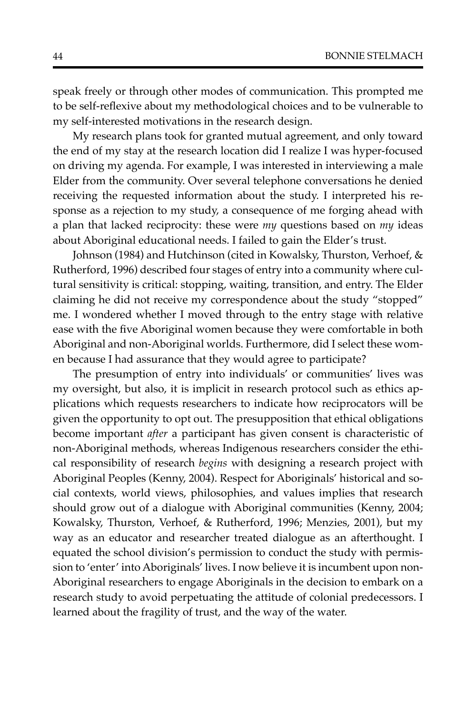speak freely or through other modes of communication. This prompted me to be self-reflexive about my methodological choices and to be vulnerable to my self-interested motivations in the research design.

My research plans took for granted mutual agreement, and only toward the end of my stay at the research location did I realize I was hyper-focused on driving my agenda. For example, I was interested in interviewing a male Elder from the community. Over several telephone conversations he denied receiving the requested information about the study. I interpreted his response as a rejection to my study, a consequence of me forging ahead with a plan that lacked reciprocity: these were *my* questions based on *my* ideas about Aboriginal educational needs. I failed to gain the Elder's trust.

Johnson (1984) and Hutchinson (cited in Kowalsky, Thurston, Verhoef, & Rutherford, 1996) described four stages of entry into a community where cultural sensitivity is critical: stopping, waiting, transition, and entry. The Elder claiming he did not receive my correspondence about the study "stopped" me. I wondered whether I moved through to the entry stage with relative ease with the five Aboriginal women because they were comfortable in both Aboriginal and non-Aboriginal worlds. Furthermore, did I select these women because I had assurance that they would agree to participate?

The presumption of entry into individuals' or communities' lives was my oversight, but also, it is implicit in research protocol such as ethics applications which requests researchers to indicate how reciprocators will be given the opportunity to opt out. The presupposition that ethical obligations become important *after* a participant has given consent is characteristic of non-Aboriginal methods, whereas Indigenous researchers consider the ethical responsibility of research *begins* with designing a research project with Aboriginal Peoples (Kenny, 2004). Respect for Aboriginals' historical and social contexts, world views, philosophies, and values implies that research should grow out of a dialogue with Aboriginal communities (Kenny, 2004; Kowalsky, Thurston, Verhoef, & Rutherford, 1996; Menzies, 2001), but my way as an educator and researcher treated dialogue as an afterthought. I equated the school division's permission to conduct the study with permission to 'enter' into Aboriginals' lives. I now believe it is incumbent upon non-Aboriginal researchers to engage Aboriginals in the decision to embark on a research study to avoid perpetuating the attitude of colonial predecessors. I learned about the fragility of trust, and the way of the water.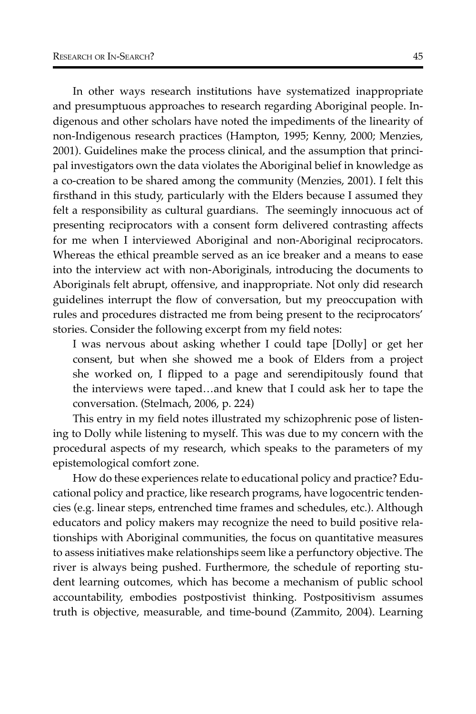In other ways research institutions have systematized inappropriate and presumptuous approaches to research regarding Aboriginal people. Indigenous and other scholars have noted the impediments of the linearity of non-Indigenous research practices (Hampton, 1995; Kenny, 2000; Menzies, 2001). Guidelines make the process clinical, and the assumption that principal investigators own the data violates the Aboriginal belief in knowledge as a co-creation to be shared among the community (Menzies, 2001). I felt this firsthand in this study, particularly with the Elders because I assumed they felt a responsibility as cultural guardians. The seemingly innocuous act of presenting reciprocators with a consent form delivered contrasting affects for me when I interviewed Aboriginal and non-Aboriginal reciprocators. Whereas the ethical preamble served as an ice breaker and a means to ease into the interview act with non-Aboriginals, introducing the documents to Aboriginals felt abrupt, offensive, and inappropriate. Not only did research guidelines interrupt the flow of conversation, but my preoccupation with rules and procedures distracted me from being present to the reciprocators' stories. Consider the following excerpt from my field notes:

I was nervous about asking whether I could tape [Dolly] or get her consent, but when she showed me a book of Elders from a project she worked on, I flipped to a page and serendipitously found that the interviews were taped…and knew that I could ask her to tape the conversation. (Stelmach, 2006, p. 224)

This entry in my field notes illustrated my schizophrenic pose of listening to Dolly while listening to myself. This was due to my concern with the procedural aspects of my research, which speaks to the parameters of my epistemological comfort zone.

How do these experiences relate to educational policy and practice? Educational policy and practice, like research programs, have logocentric tendencies (e.g. linear steps, entrenched time frames and schedules, etc.). Although educators and policy makers may recognize the need to build positive relationships with Aboriginal communities, the focus on quantitative measures to assess initiatives make relationships seem like a perfunctory objective. The river is always being pushed. Furthermore, the schedule of reporting student learning outcomes, which has become a mechanism of public school accountability, embodies postpostivist thinking. Postpositivism assumes truth is objective, measurable, and time-bound (Zammito, 2004). Learning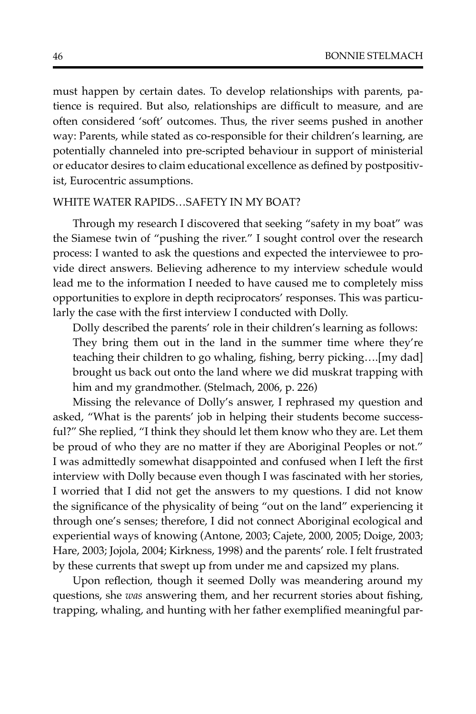must happen by certain dates. To develop relationships with parents, patience is required. But also, relationships are difficult to measure, and are often considered 'soft' outcomes. Thus, the river seems pushed in another way: Parents, while stated as co-responsible for their children's learning, are potentially channeled into pre-scripted behaviour in support of ministerial or educator desires to claim educational excellence as defined by postpositivist, Eurocentric assumptions.

#### WHITE WATER RAPIDS…SAFETY IN MY BOAT?

Through my research I discovered that seeking "safety in my boat" was the Siamese twin of "pushing the river." I sought control over the research process: I wanted to ask the questions and expected the interviewee to provide direct answers. Believing adherence to my interview schedule would lead me to the information I needed to have caused me to completely miss opportunities to explore in depth reciprocators' responses. This was particularly the case with the first interview I conducted with Dolly.

Dolly described the parents' role in their children's learning as follows: They bring them out in the land in the summer time where they're teaching their children to go whaling, fishing, berry picking….[my dad] brought us back out onto the land where we did muskrat trapping with him and my grandmother. (Stelmach, 2006, p. 226)

Missing the relevance of Dolly's answer, I rephrased my question and asked, "What is the parents' job in helping their students become successful?" She replied, "I think they should let them know who they are. Let them be proud of who they are no matter if they are Aboriginal Peoples or not." I was admittedly somewhat disappointed and confused when I left the first interview with Dolly because even though I was fascinated with her stories, I worried that I did not get the answers to my questions. I did not know the significance of the physicality of being "out on the land" experiencing it through one's senses; therefore, I did not connect Aboriginal ecological and experiential ways of knowing (Antone, 2003; Cajete, 2000, 2005; Doige, 2003; Hare, 2003; Jojola, 2004; Kirkness, 1998) and the parents' role. I felt frustrated by these currents that swept up from under me and capsized my plans.

Upon reflection, though it seemed Dolly was meandering around my questions, she *was* answering them, and her recurrent stories about fishing, trapping, whaling, and hunting with her father exemplified meaningful par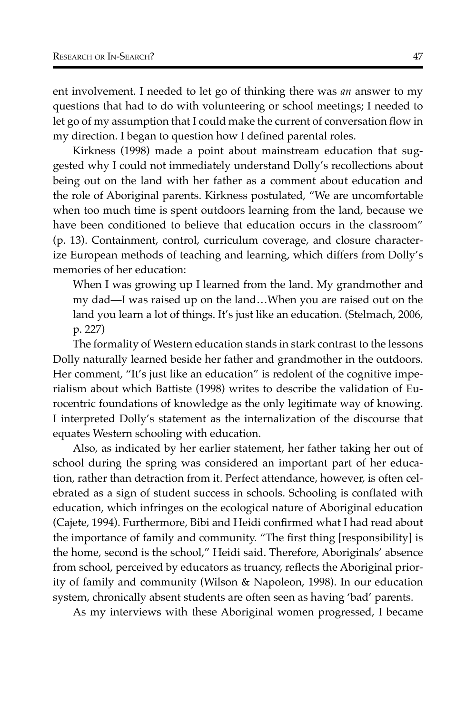ent involvement. I needed to let go of thinking there was *an* answer to my questions that had to do with volunteering or school meetings; I needed to let go of my assumption that I could make the current of conversation flow in my direction. I began to question how I defined parental roles.

Kirkness (1998) made a point about mainstream education that suggested why I could not immediately understand Dolly's recollections about being out on the land with her father as a comment about education and the role of Aboriginal parents. Kirkness postulated, "We are uncomfortable when too much time is spent outdoors learning from the land, because we have been conditioned to believe that education occurs in the classroom" (p. 13). Containment, control, curriculum coverage, and closure characterize European methods of teaching and learning, which differs from Dolly's memories of her education:

When I was growing up I learned from the land. My grandmother and my dad—I was raised up on the land…When you are raised out on the land you learn a lot of things. It's just like an education. (Stelmach, 2006, p. 227)

The formality of Western education stands in stark contrast to the lessons Dolly naturally learned beside her father and grandmother in the outdoors. Her comment, "It's just like an education" is redolent of the cognitive imperialism about which Battiste (1998) writes to describe the validation of Eurocentric foundations of knowledge as the only legitimate way of knowing. I interpreted Dolly's statement as the internalization of the discourse that equates Western schooling with education.

Also, as indicated by her earlier statement, her father taking her out of school during the spring was considered an important part of her education, rather than detraction from it. Perfect attendance, however, is often celebrated as a sign of student success in schools. Schooling is conflated with education, which infringes on the ecological nature of Aboriginal education (Cajete, 1994). Furthermore, Bibi and Heidi confirmed what I had read about the importance of family and community. "The first thing [responsibility] is the home, second is the school," Heidi said. Therefore, Aboriginals' absence from school, perceived by educators as truancy, reflects the Aboriginal priority of family and community (Wilson & Napoleon, 1998). In our education system, chronically absent students are often seen as having 'bad' parents.

As my interviews with these Aboriginal women progressed, I became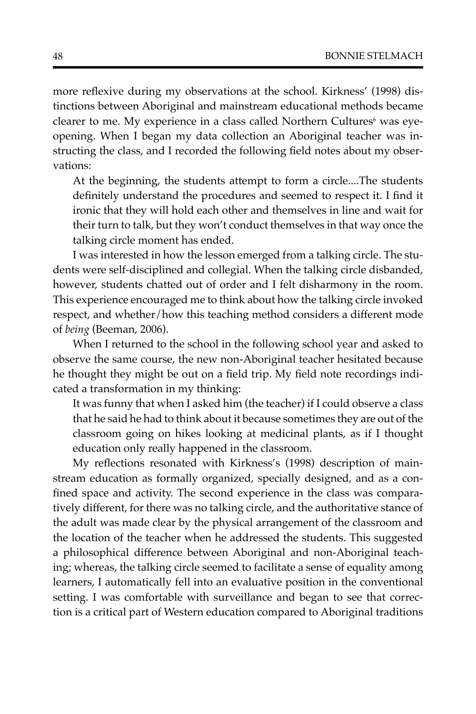more reflexive during my observations at the school. Kirkness' (1998) distinctions between Aboriginal and mainstream educational methods became clearer to me. My experience in a class called Northern Cultures<sup>6</sup> was eyeopening. When I began my data collection an Aboriginal teacher was instructing the class, and I recorded the following field notes about my observations:

At the beginning, the students attempt to form a circle....The students definitely understand the procedures and seemed to respect it. I find it ironic that they will hold each other and themselves in line and wait for their turn to talk, but they won't conduct themselves in that way once the talking circle moment has ended.

I was interested in how the lesson emerged from a talking circle. The students were self-disciplined and collegial. When the talking circle disbanded, however, students chatted out of order and I felt disharmony in the room. This experience encouraged me to think about how the talking circle invoked respect, and whether/how this teaching method considers a different mode of *being* (Beeman, 2006).

When I returned to the school in the following school year and asked to observe the same course, the new non-Aboriginal teacher hesitated because he thought they might be out on a field trip. My field note recordings indicated a transformation in my thinking:

It was funny that when I asked him (the teacher) if I could observe a class that he said he had to think about it because sometimes they are out of the classroom going on hikes looking at medicinal plants, as if I thought education only really happened in the classroom.

My reflections resonated with Kirkness's (1998) description of mainstream education as formally organized, specially designed, and as a confined space and activity. The second experience in the class was comparatively different, for there was no talking circle, and the authoritative stance of the adult was made clear by the physical arrangement of the classroom and the location of the teacher when he addressed the students. This suggested a philosophical difference between Aboriginal and non-Aboriginal teaching; whereas, the talking circle seemed to facilitate a sense of equality among learners, I automatically fell into an evaluative position in the conventional setting. I was comfortable with surveillance and began to see that correction is a critical part of Western education compared to Aboriginal traditions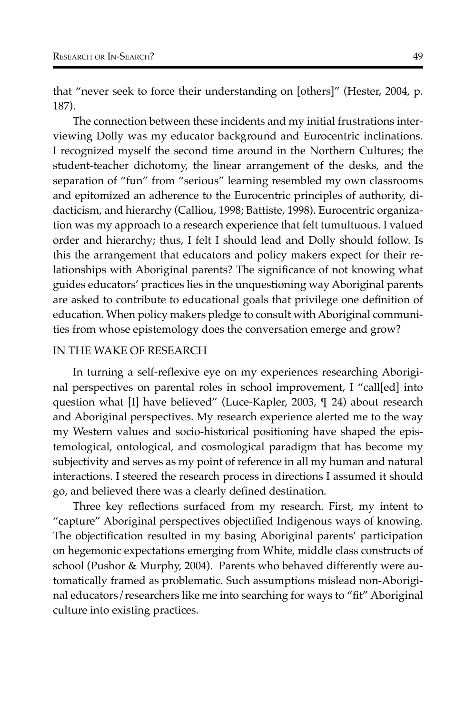that "never seek to force their understanding on [others]" (Hester, 2004, p. 187).

The connection between these incidents and my initial frustrations interviewing Dolly was my educator background and Eurocentric inclinations. I recognized myself the second time around in the Northern Cultures; the student-teacher dichotomy, the linear arrangement of the desks, and the separation of "fun" from "serious" learning resembled my own classrooms and epitomized an adherence to the Eurocentric principles of authority, didacticism, and hierarchy (Calliou, 1998; Battiste, 1998). Eurocentric organization was my approach to a research experience that felt tumultuous. I valued order and hierarchy; thus, I felt I should lead and Dolly should follow. Is this the arrangement that educators and policy makers expect for their relationships with Aboriginal parents? The significance of not knowing what guides educators' practices lies in the unquestioning way Aboriginal parents are asked to contribute to educational goals that privilege one definition of education. When policy makers pledge to consult with Aboriginal communities from whose epistemology does the conversation emerge and grow?

#### IN THE WAKE OF RESEARCH

In turning a self-reflexive eye on my experiences researching Aboriginal perspectives on parental roles in school improvement, I "call[ed] into question what [I] have believed" (Luce-Kapler, 2003, ¶ 24) about research and Aboriginal perspectives. My research experience alerted me to the way my Western values and socio-historical positioning have shaped the epistemological, ontological, and cosmological paradigm that has become my subjectivity and serves as my point of reference in all my human and natural interactions. I steered the research process in directions I assumed it should go, and believed there was a clearly defined destination.

Three key reflections surfaced from my research. First, my intent to "capture" Aboriginal perspectives objectified Indigenous ways of knowing. The objectification resulted in my basing Aboriginal parents' participation on hegemonic expectations emerging from White, middle class constructs of school (Pushor & Murphy, 2004). Parents who behaved differently were automatically framed as problematic. Such assumptions mislead non-Aboriginal educators/researchers like me into searching for ways to "fit" Aboriginal culture into existing practices.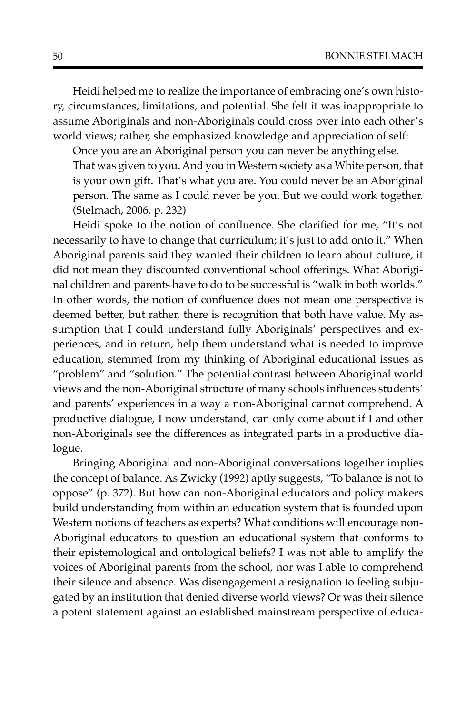Heidi helped me to realize the importance of embracing one's own history, circumstances, limitations, and potential. She felt it was inappropriate to assume Aboriginals and non-Aboriginals could cross over into each other's world views; rather, she emphasized knowledge and appreciation of self:

Once you are an Aboriginal person you can never be anything else. That was given to you. And you in Western society as a White person, that is your own gift. That's what you are. You could never be an Aboriginal person. The same as I could never be you. But we could work together.

(Stelmach, 2006, p. 232)

Heidi spoke to the notion of confluence. She clarified for me, "It's not necessarily to have to change that curriculum; it's just to add onto it." When Aboriginal parents said they wanted their children to learn about culture, it did not mean they discounted conventional school offerings. What Aboriginal children and parents have to do to be successful is "walk in both worlds." In other words, the notion of confluence does not mean one perspective is deemed better, but rather, there is recognition that both have value. My assumption that I could understand fully Aboriginals' perspectives and experiences, and in return, help them understand what is needed to improve education, stemmed from my thinking of Aboriginal educational issues as "problem" and "solution." The potential contrast between Aboriginal world views and the non-Aboriginal structure of many schools influences students' and parents' experiences in a way a non-Aboriginal cannot comprehend. A productive dialogue, I now understand, can only come about if I and other non-Aboriginals see the differences as integrated parts in a productive dialogue.

Bringing Aboriginal and non-Aboriginal conversations together implies the concept of balance. As Zwicky (1992) aptly suggests, "To balance is not to oppose" (p. 372). But how can non-Aboriginal educators and policy makers build understanding from within an education system that is founded upon Western notions of teachers as experts? What conditions will encourage non-Aboriginal educators to question an educational system that conforms to their epistemological and ontological beliefs? I was not able to amplify the voices of Aboriginal parents from the school, nor was I able to comprehend their silence and absence. Was disengagement a resignation to feeling subjugated by an institution that denied diverse world views? Or was their silence a potent statement against an established mainstream perspective of educa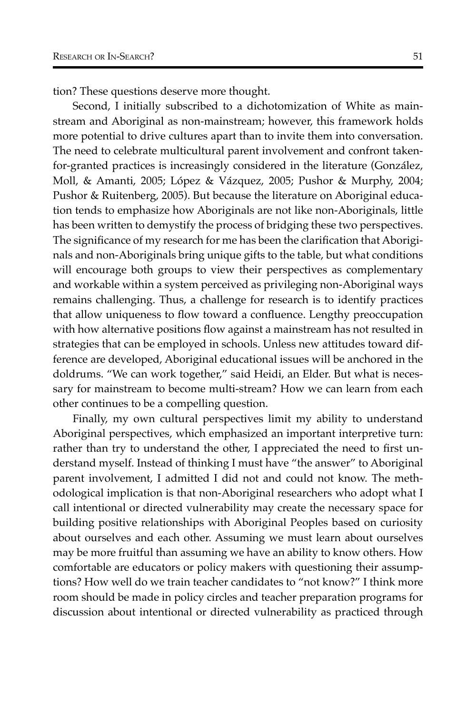tion? These questions deserve more thought.

Second, I initially subscribed to a dichotomization of White as mainstream and Aboriginal as non-mainstream; however, this framework holds more potential to drive cultures apart than to invite them into conversation. The need to celebrate multicultural parent involvement and confront takenfor-granted practices is increasingly considered in the literature (González, Moll, & Amanti, 2005; López & Vázquez, 2005; Pushor & Murphy, 2004; Pushor & Ruitenberg, 2005). But because the literature on Aboriginal education tends to emphasize how Aboriginals are not like non-Aboriginals, little has been written to demystify the process of bridging these two perspectives. The significance of my research for me has been the clarification that Aboriginals and non-Aboriginals bring unique gifts to the table, but what conditions will encourage both groups to view their perspectives as complementary and workable within a system perceived as privileging non-Aboriginal ways remains challenging. Thus, a challenge for research is to identify practices that allow uniqueness to flow toward a confluence. Lengthy preoccupation with how alternative positions flow against a mainstream has not resulted in strategies that can be employed in schools. Unless new attitudes toward difference are developed, Aboriginal educational issues will be anchored in the doldrums. "We can work together," said Heidi, an Elder. But what is necessary for mainstream to become multi-stream? How we can learn from each other continues to be a compelling question.

Finally, my own cultural perspectives limit my ability to understand Aboriginal perspectives, which emphasized an important interpretive turn: rather than try to understand the other, I appreciated the need to first understand myself. Instead of thinking I must have "the answer" to Aboriginal parent involvement, I admitted I did not and could not know. The methodological implication is that non-Aboriginal researchers who adopt what I call intentional or directed vulnerability may create the necessary space for building positive relationships with Aboriginal Peoples based on curiosity about ourselves and each other. Assuming we must learn about ourselves may be more fruitful than assuming we have an ability to know others. How comfortable are educators or policy makers with questioning their assumptions? How well do we train teacher candidates to "not know?" I think more room should be made in policy circles and teacher preparation programs for discussion about intentional or directed vulnerability as practiced through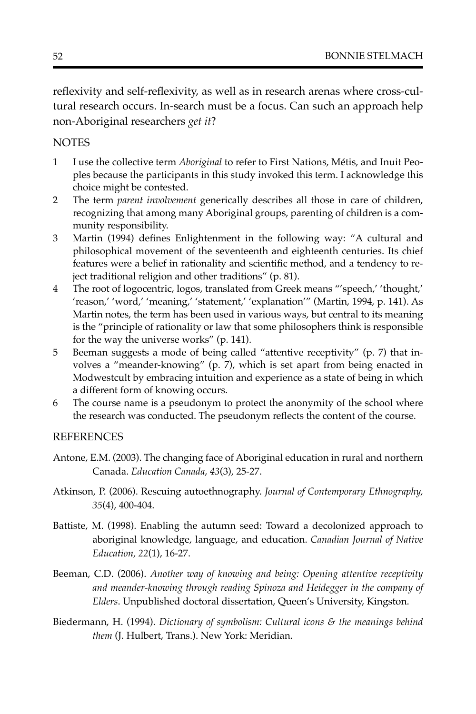reflexivity and self-reflexivity, as well as in research arenas where cross-cultural research occurs. In-search must be a focus. Can such an approach help non-Aboriginal researchers *get it*?

## **NOTES**

- 1 I use the collective term *Aboriginal* to refer to First Nations, Métis, and Inuit Peoples because the participants in this study invoked this term. I acknowledge this choice might be contested.
- 2 The term *parent involvement* generically describes all those in care of children, recognizing that among many Aboriginal groups, parenting of children is a community responsibility.
- 3 Martin (1994) defines Enlightenment in the following way: "A cultural and philosophical movement of the seventeenth and eighteenth centuries. Its chief features were a belief in rationality and scientific method, and a tendency to reject traditional religion and other traditions" (p. 81).
- 4 The root of logocentric, logos, translated from Greek means "'speech,' 'thought,' 'reason,' 'word,' 'meaning,' 'statement,' 'explanation'" (Martin, 1994, p. 141). As Martin notes, the term has been used in various ways, but central to its meaning is the "principle of rationality or law that some philosophers think is responsible for the way the universe works" (p. 141).
- 5 Beeman suggests a mode of being called "attentive receptivity" (p. 7) that involves a "meander-knowing" (p. 7), which is set apart from being enacted in Modwestcult by embracing intuition and experience as a state of being in which a different form of knowing occurs.
- 6 The course name is a pseudonym to protect the anonymity of the school where the research was conducted. The pseudonym reflects the content of the course.

### REFERENCES

- Antone, E.M. (2003). The changing face of Aboriginal education in rural and northern Canada. *Education Canada*, *43*(3), 25-27.
- Atkinson, P. (2006). Rescuing autoethnography. *Journal of Contemporary Ethnography, 35*(4), 400-404.
- Battiste, M. (1998). Enabling the autumn seed: Toward a decolonized approach to aboriginal knowledge, language, and education. *Canadian Journal of Native Education, 22*(1), 16-27.
- Beeman, C.D. (2006). *Another way of knowing and being: Opening attentive receptivity and meander-knowing through reading Spinoza and Heidegger in the company of Elders*. Unpublished doctoral dissertation, Queen's University, Kingston.
- Biedermann, H. (1994). *Dictionary of symbolism: Cultural icons & the meanings behind them* (J. Hulbert, Trans.). New York: Meridian.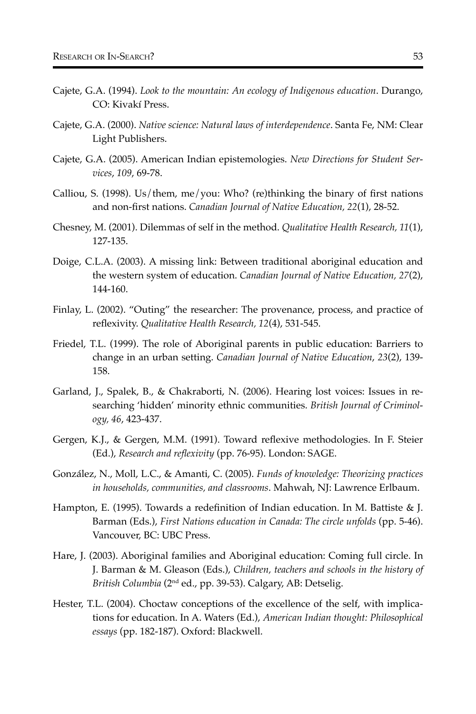- Cajete, G.A. (1994). *Look to the mountain: An ecology of Indigenous education*. Durango, CO: Kivakí Press.
- Cajete, G.A. (2000). *Native science: Natural laws of interdependence*. Santa Fe, NM: Clear Light Publishers.
- Cajete, G.A. (2005). American Indian epistemologies. *New Directions for Student Services*, *109*, 69-78.
- Calliou, S. (1998). Us/them, me/you: Who? (re)thinking the binary of first nations and non-first nations. *Canadian Journal of Native Education, 22*(1), 28-52.
- Chesney, M. (2001). Dilemmas of self in the method. *Qualitative Health Research, 11*(1), 127-135.
- Doige, C.L.A. (2003). A missing link: Between traditional aboriginal education and the western system of education. *Canadian Journal of Native Education, 27*(2), 144-160.
- Finlay, L. (2002). "Outing" the researcher: The provenance, process, and practice of reflexivity. *Qualitative Health Research, 12*(4), 531-545.
- Friedel, T.L. (1999). The role of Aboriginal parents in public education: Barriers to change in an urban setting. *Canadian Journal of Native Education*, *23*(2), 139- 158.
- Garland, J., Spalek, B., & Chakraborti, N. (2006). Hearing lost voices: Issues in researching 'hidden' minority ethnic communities. *British Journal of Criminology, 46*, 423-437.
- Gergen, K.J., & Gergen, M.M. (1991). Toward reflexive methodologies. In F. Steier (Ed.), *Research and reflexivity* (pp. 76-95). London: SAGE.
- González, N., Moll, L.C., & Amanti, C. (2005). *Funds of knowledge: Theorizing practices in households, communities, and classrooms*. Mahwah, NJ: Lawrence Erlbaum.
- Hampton, E. (1995). Towards a redefinition of Indian education. In M. Battiste & J. Barman (Eds.), *First Nations education in Canada: The circle unfolds* (pp. 5-46). Vancouver, BC: UBC Press.
- Hare, J. (2003). Aboriginal families and Aboriginal education: Coming full circle. In J. Barman & M. Gleason (Eds.), *Children, teachers and schools in the history of British Columbia* (2nd ed., pp. 39-53). Calgary, AB: Detselig.
- Hester, T.L. (2004). Choctaw conceptions of the excellence of the self, with implications for education. In A. Waters (Ed.), *American Indian thought: Philosophical essays* (pp. 182-187). Oxford: Blackwell.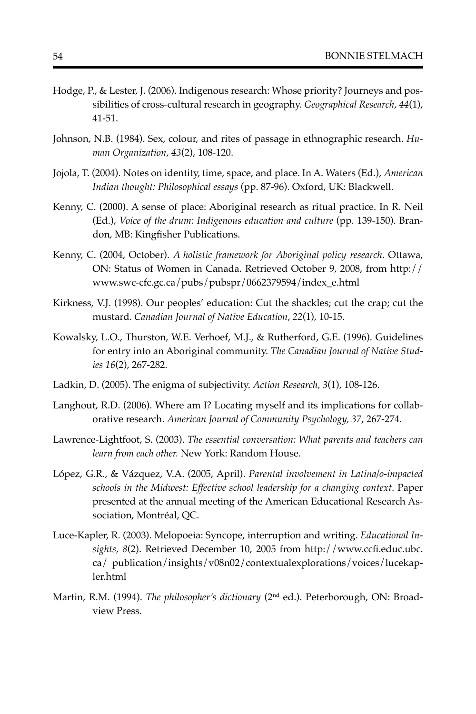- Hodge, P., & Lester, J. (2006). Indigenous research: Whose priority? Journeys and possibilities of cross-cultural research in geography. *Geographical Research*, *44*(1), 41-51.
- Johnson, N.B. (1984). Sex, colour, and rites of passage in ethnographic research. *Human Organization*, *43*(2), 108-120.
- Jojola, T. (2004). Notes on identity, time, space, and place. In A. Waters (Ed.), *American Indian thought: Philosophical essays* (pp. 87-96). Oxford, UK: Blackwell.
- Kenny, C. (2000). A sense of place: Aboriginal research as ritual practice. In R. Neil (Ed.), *Voice of the drum: Indigenous education and culture* (pp. 139-150). Brandon, MB: Kingfisher Publications.
- Kenny, C. (2004, October). *A holistic framework for Aboriginal policy research*. Ottawa, ON: Status of Women in Canada. Retrieved October 9, 2008, from http:// www.swc-cfc.gc.ca/pubs/pubspr/0662379594/index\_e.html
- Kirkness, V.J. (1998). Our peoples' education: Cut the shackles; cut the crap; cut the mustard. *Canadian Journal of Native Education*, *22*(1), 10-15.
- Kowalsky, L.O., Thurston, W.E. Verhoef, M.J., & Rutherford, G.E. (1996). Guidelines for entry into an Aboriginal community. *The Canadian Journal of Native Studies 16*(2), 267-282.
- Ladkin, D. (2005). The enigma of subjectivity. *Action Research, 3*(1), 108-126.
- Langhout, R.D. (2006). Where am I? Locating myself and its implications for collaborative research. *American Journal of Community Psychology, 37*, 267-274.
- Lawrence-Lightfoot, S. (2003). *The essential conversation: What parents and teachers can learn from each other.* New York: Random House.
- López, G.R., & Vázquez, V.A. (2005, April). *Parental involvement in Latina/o-impacted schools in the Midwest: Effective school leadership for a changing context*. Paper presented at the annual meeting of the American Educational Research Association, Montréal, QC.
- Luce-Kapler, R. (2003). Melopoeia: Syncope, interruption and writing. *Educational Insights, 8*(2). Retrieved December 10, 2005 from http://www.ccfi.educ.ubc. ca/ publication/insights/v08n02/contextualexplorations/voices/lucekapler.html
- Martin, R.M. (1994). *The philosopher's dictionary* (2nd ed.). Peterborough, ON: Broadview Press.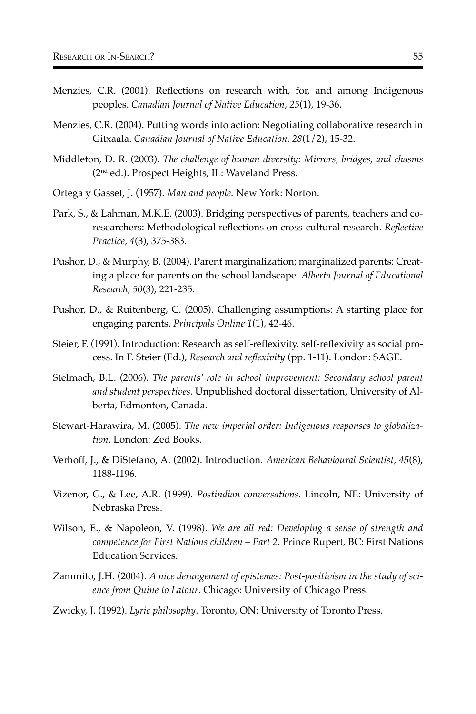- Menzies, C.R. (2001). Reflections on research with, for, and among Indigenous peoples. *Canadian Journal of Native Education, 25*(1), 19-36.
- Menzies, C.R. (2004). Putting words into action: Negotiating collaborative research in Gitxaala. *Canadian Journal of Native Education, 28*(1/2), 15-32.
- Middleton, D. R. (2003). *The challenge of human diversity: Mirrors, bridges, and chasms* (2nd ed.). Prospect Heights, IL: Waveland Press.
- Ortega y Gasset, J. (1957). *Man and people*. New York: Norton.
- Park, S., & Lahman, M.K.E. (2003). Bridging perspectives of parents, teachers and coresearchers: Methodological reflections on cross-cultural research. *Reflective Practice, 4*(3), 375-383.
- Pushor, D., & Murphy, B. (2004). Parent marginalization; marginalized parents: Creating a place for parents on the school landscape. *Alberta Journal of Educational Research*, *50*(3), 221-235.
- Pushor, D., & Ruitenberg, C. (2005). Challenging assumptions: A starting place for engaging parents. *Principals Online 1*(1), 42-46.
- Steier, F. (1991). Introduction: Research as self-reflexivity, self-reflexivity as social process. In F. Steier (Ed.), *Research and reflexivity* (pp. 1-11). London: SAGE.
- Stelmach, B.L. (2006). *The parents' role in school improvement: Secondary school parent and student perspectives.* Unpublished doctoral dissertation, University of Alberta, Edmonton, Canada.
- Stewart-Harawira, M. (2005). *The new imperial order: Indigenous responses to globalization*. London: Zed Books.
- Verhoff, J., & DiStefano, A. (2002). Introduction. *American Behavioural Scientist, 45*(8), 1188-1196.
- Vizenor, G., & Lee, A.R. (1999). *Postindian conversations*. Lincoln, NE: University of Nebraska Press.
- Wilson, E., & Napoleon, V. (1998). *We are all red: Developing a sense of strength and competence for First Nations children – Part 2.* Prince Rupert, BC: First Nations Education Services.
- Zammito, J.H. (2004). *A nice derangement of epistemes: Post-positivism in the study of science from Quine to Latour*. Chicago: University of Chicago Press.
- Zwicky, J. (1992). *Lyric philosophy*. Toronto, ON: University of Toronto Press.